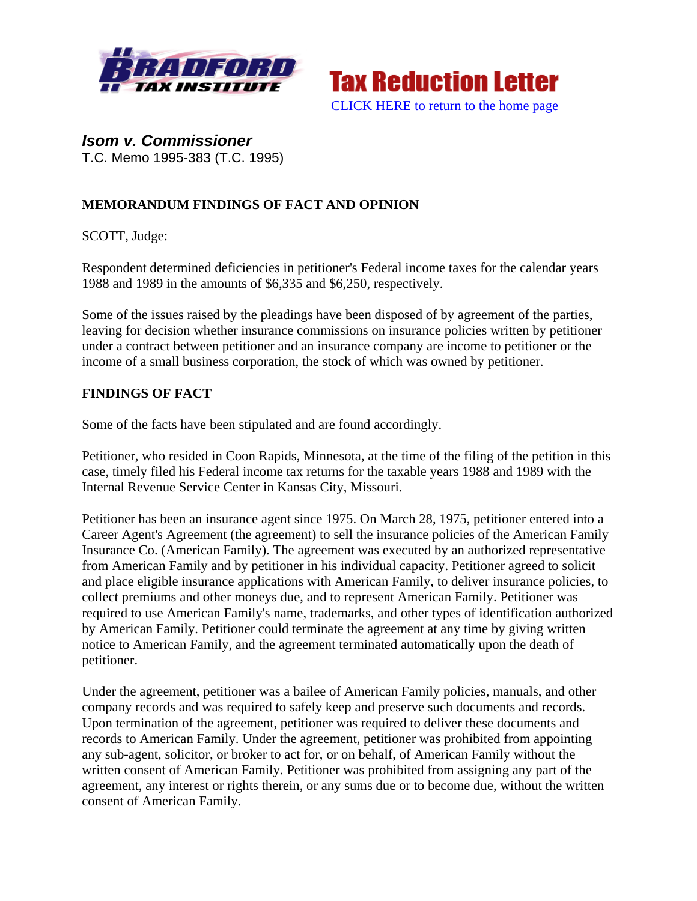



*Isom v. Commissioner*  T.C. Memo 1995-383 (T.C. 1995)

## **MEMORANDUM FINDINGS OF FACT AND OPINION**

SCOTT, Judge:

Respondent determined deficiencies in petitioner's Federal income taxes for the calendar years 1988 and 1989 in the amounts of \$6,335 and \$6,250, respectively.

Some of the issues raised by the pleadings have been disposed of by agreement of the parties, leaving for decision whether insurance commissions on insurance policies written by petitioner under a contract between petitioner and an insurance company are income to petitioner or the income of a small business corporation, the stock of which was owned by petitioner.

## **FINDINGS OF FACT**

Some of the facts have been stipulated and are found accordingly.

Petitioner, who resided in Coon Rapids, Minnesota, at the time of the filing of the petition in this case, timely filed his Federal income tax returns for the taxable years 1988 and 1989 with the Internal Revenue Service Center in Kansas City, Missouri.

Petitioner has been an insurance agent since 1975. On March 28, 1975, petitioner entered into a Career Agent's Agreement (the agreement) to sell the insurance policies of the American Family Insurance Co. (American Family). The agreement was executed by an authorized representative from American Family and by petitioner in his individual capacity. Petitioner agreed to solicit and place eligible insurance applications with American Family, to deliver insurance policies, to collect premiums and other moneys due, and to represent American Family. Petitioner was required to use American Family's name, trademarks, and other types of identification authorized by American Family. Petitioner could terminate the agreement at any time by giving written notice to American Family, and the agreement terminated automatically upon the death of petitioner.

Under the agreement, petitioner was a bailee of American Family policies, manuals, and other company records and was required to safely keep and preserve such documents and records. Upon termination of the agreement, petitioner was required to deliver these documents and records to American Family. Under the agreement, petitioner was prohibited from appointing any sub-agent, solicitor, or broker to act for, or on behalf, of American Family without the written consent of American Family. Petitioner was prohibited from assigning any part of the agreement, any interest or rights therein, or any sums due or to become due, without the written consent of American Family.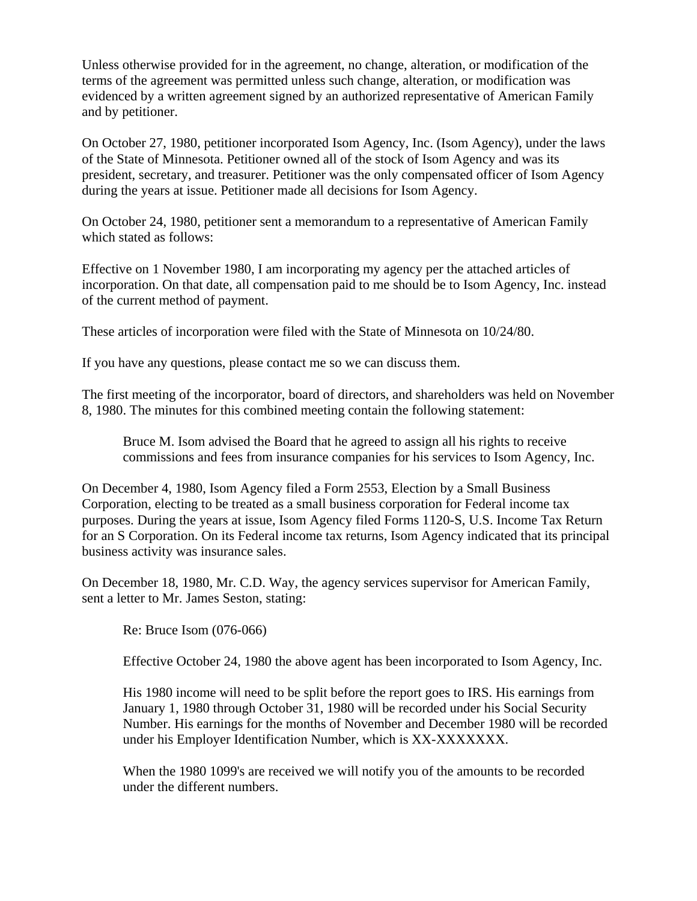Unless otherwise provided for in the agreement, no change, alteration, or modification of the terms of the agreement was permitted unless such change, alteration, or modification was evidenced by a written agreement signed by an authorized representative of American Family and by petitioner.

On October 27, 1980, petitioner incorporated Isom Agency, Inc. (Isom Agency), under the laws of the State of Minnesota. Petitioner owned all of the stock of Isom Agency and was its president, secretary, and treasurer. Petitioner was the only compensated officer of Isom Agency during the years at issue. Petitioner made all decisions for Isom Agency.

On October 24, 1980, petitioner sent a memorandum to a representative of American Family which stated as follows:

Effective on 1 November 1980, I am incorporating my agency per the attached articles of incorporation. On that date, all compensation paid to me should be to Isom Agency, Inc. instead of the current method of payment.

These articles of incorporation were filed with the State of Minnesota on 10/24/80.

If you have any questions, please contact me so we can discuss them.

The first meeting of the incorporator, board of directors, and shareholders was held on November 8, 1980. The minutes for this combined meeting contain the following statement:

Bruce M. Isom advised the Board that he agreed to assign all his rights to receive commissions and fees from insurance companies for his services to Isom Agency, Inc.

On December 4, 1980, Isom Agency filed a Form 2553, Election by a Small Business Corporation, electing to be treated as a small business corporation for Federal income tax purposes. During the years at issue, Isom Agency filed Forms 1120-S, U.S. Income Tax Return for an S Corporation. On its Federal income tax returns, Isom Agency indicated that its principal business activity was insurance sales.

On December 18, 1980, Mr. C.D. Way, the agency services supervisor for American Family, sent a letter to Mr. James Seston, stating:

Re: Bruce Isom (076-066)

Effective October 24, 1980 the above agent has been incorporated to Isom Agency, Inc.

His 1980 income will need to be split before the report goes to IRS. His earnings from January 1, 1980 through October 31, 1980 will be recorded under his Social Security Number. His earnings for the months of November and December 1980 will be recorded under his Employer Identification Number, which is XX-XXXXXXX.

When the 1980 1099's are received we will notify you of the amounts to be recorded under the different numbers.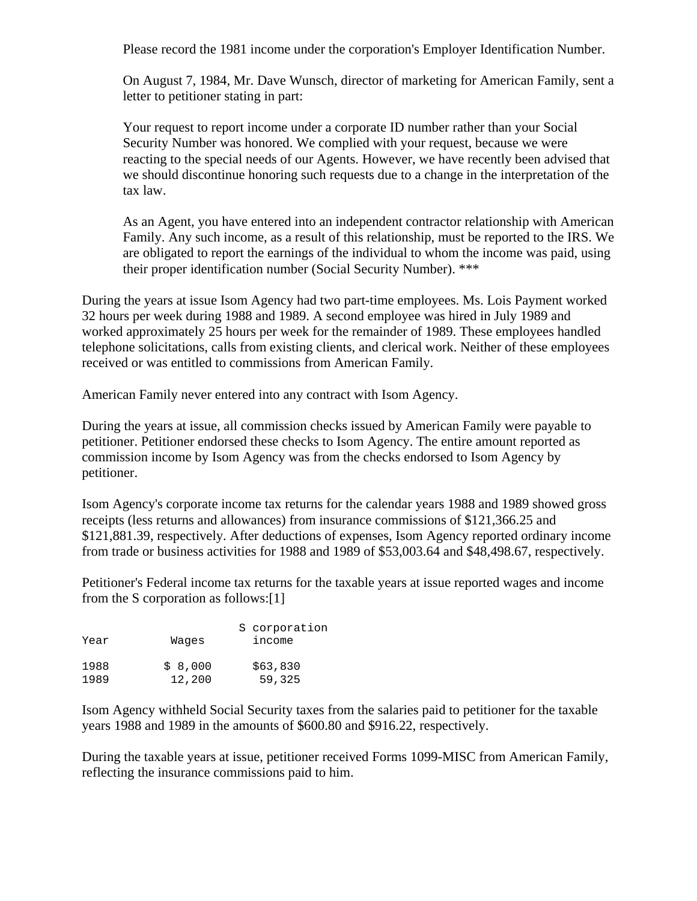Please record the 1981 income under the corporation's Employer Identification Number.

On August 7, 1984, Mr. Dave Wunsch, director of marketing for American Family, sent a letter to petitioner stating in part:

Your request to report income under a corporate ID number rather than your Social Security Number was honored. We complied with your request, because we were reacting to the special needs of our Agents. However, we have recently been advised that we should discontinue honoring such requests due to a change in the interpretation of the tax law.

As an Agent, you have entered into an independent contractor relationship with American Family. Any such income, as a result of this relationship, must be reported to the IRS. We are obligated to report the earnings of the individual to whom the income was paid, using their proper identification number (Social Security Number). \*\*\*

During the years at issue Isom Agency had two part-time employees. Ms. Lois Payment worked 32 hours per week during 1988 and 1989. A second employee was hired in July 1989 and worked approximately 25 hours per week for the remainder of 1989. These employees handled telephone solicitations, calls from existing clients, and clerical work. Neither of these employees received or was entitled to commissions from American Family.

American Family never entered into any contract with Isom Agency.

During the years at issue, all commission checks issued by American Family were payable to petitioner. Petitioner endorsed these checks to Isom Agency. The entire amount reported as commission income by Isom Agency was from the checks endorsed to Isom Agency by petitioner.

Isom Agency's corporate income tax returns for the calendar years 1988 and 1989 showed gross receipts (less returns and allowances) from insurance commissions of \$121,366.25 and \$121,881.39, respectively. After deductions of expenses, Isom Agency reported ordinary income from trade or business activities for 1988 and 1989 of \$53,003.64 and \$48,498.67, respectively.

Petitioner's Federal income tax returns for the taxable years at issue reported wages and income from the S corporation as follows:[1]

| Year | Waqes   | S corporation<br>income |
|------|---------|-------------------------|
| 1988 | \$8,000 | \$63,830                |
| 1989 | 12,200  | 59,325                  |

Isom Agency withheld Social Security taxes from the salaries paid to petitioner for the taxable years 1988 and 1989 in the amounts of \$600.80 and \$916.22, respectively.

During the taxable years at issue, petitioner received Forms 1099-MISC from American Family, reflecting the insurance commissions paid to him.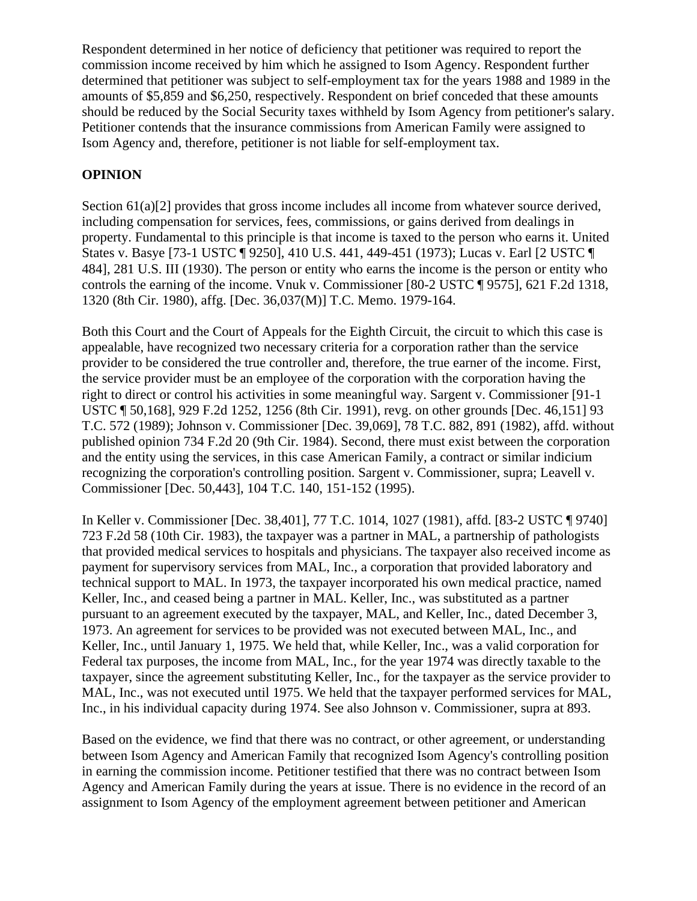Respondent determined in her notice of deficiency that petitioner was required to report the commission income received by him which he assigned to Isom Agency. Respondent further determined that petitioner was subject to self-employment tax for the years 1988 and 1989 in the amounts of \$5,859 and \$6,250, respectively. Respondent on brief conceded that these amounts should be reduced by the Social Security taxes withheld by Isom Agency from petitioner's salary. Petitioner contends that the insurance commissions from American Family were assigned to Isom Agency and, therefore, petitioner is not liable for self-employment tax.

## **OPINION**

Section 61(a)[2] provides that gross income includes all income from whatever source derived, including compensation for services, fees, commissions, or gains derived from dealings in property. Fundamental to this principle is that income is taxed to the person who earns it. United States v. Basye [73-1 USTC ¶ 9250], 410 U.S. 441, 449-451 (1973); Lucas v. Earl [2 USTC ¶ 484], 281 U.S. III (1930). The person or entity who earns the income is the person or entity who controls the earning of the income. Vnuk v. Commissioner [80-2 USTC ¶ 9575], 621 F.2d 1318, 1320 (8th Cir. 1980), affg. [Dec. 36,037(M)] T.C. Memo. 1979-164.

Both this Court and the Court of Appeals for the Eighth Circuit, the circuit to which this case is appealable, have recognized two necessary criteria for a corporation rather than the service provider to be considered the true controller and, therefore, the true earner of the income. First, the service provider must be an employee of the corporation with the corporation having the right to direct or control his activities in some meaningful way. Sargent v. Commissioner [91-1 USTC ¶ 50,168], 929 F.2d 1252, 1256 (8th Cir. 1991), revg. on other grounds [Dec. 46,151] 93 T.C. 572 (1989); Johnson v. Commissioner [Dec. 39,069], 78 T.C. 882, 891 (1982), affd. without published opinion 734 F.2d 20 (9th Cir. 1984). Second, there must exist between the corporation and the entity using the services, in this case American Family, a contract or similar indicium recognizing the corporation's controlling position. Sargent v. Commissioner, supra; Leavell v. Commissioner [Dec. 50,443], 104 T.C. 140, 151-152 (1995).

In Keller v. Commissioner [Dec. 38,401], 77 T.C. 1014, 1027 (1981), affd. [83-2 USTC ¶ 9740] 723 F.2d 58 (10th Cir. 1983), the taxpayer was a partner in MAL, a partnership of pathologists that provided medical services to hospitals and physicians. The taxpayer also received income as payment for supervisory services from MAL, Inc., a corporation that provided laboratory and technical support to MAL. In 1973, the taxpayer incorporated his own medical practice, named Keller, Inc., and ceased being a partner in MAL. Keller, Inc., was substituted as a partner pursuant to an agreement executed by the taxpayer, MAL, and Keller, Inc., dated December 3, 1973. An agreement for services to be provided was not executed between MAL, Inc., and Keller, Inc., until January 1, 1975. We held that, while Keller, Inc., was a valid corporation for Federal tax purposes, the income from MAL, Inc., for the year 1974 was directly taxable to the taxpayer, since the agreement substituting Keller, Inc., for the taxpayer as the service provider to MAL, Inc., was not executed until 1975. We held that the taxpayer performed services for MAL, Inc., in his individual capacity during 1974. See also Johnson v. Commissioner, supra at 893.

Based on the evidence, we find that there was no contract, or other agreement, or understanding between Isom Agency and American Family that recognized Isom Agency's controlling position in earning the commission income. Petitioner testified that there was no contract between Isom Agency and American Family during the years at issue. There is no evidence in the record of an assignment to Isom Agency of the employment agreement between petitioner and American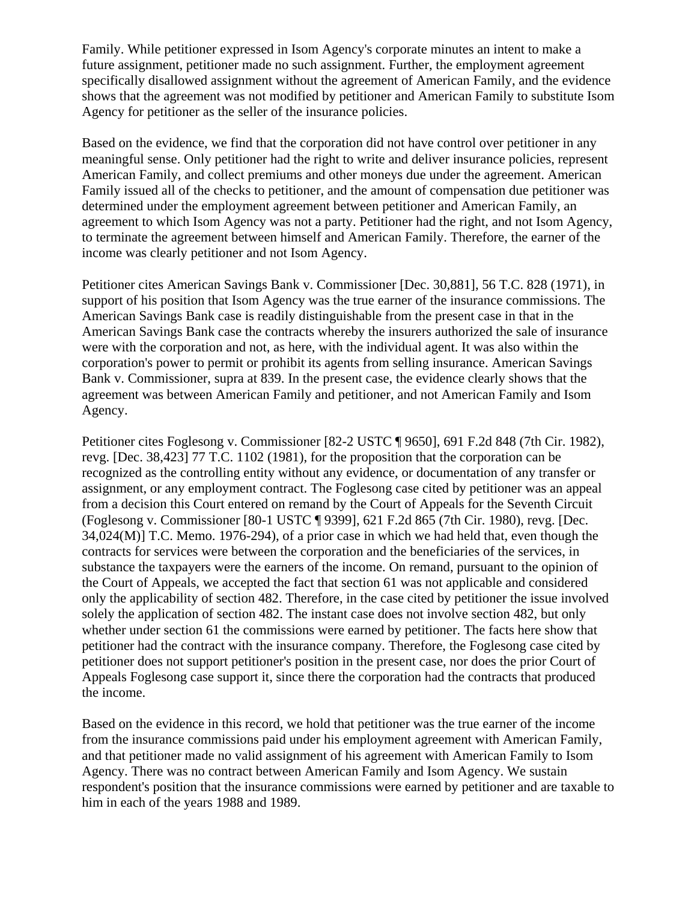Family. While petitioner expressed in Isom Agency's corporate minutes an intent to make a future assignment, petitioner made no such assignment. Further, the employment agreement specifically disallowed assignment without the agreement of American Family, and the evidence shows that the agreement was not modified by petitioner and American Family to substitute Isom Agency for petitioner as the seller of the insurance policies.

Based on the evidence, we find that the corporation did not have control over petitioner in any meaningful sense. Only petitioner had the right to write and deliver insurance policies, represent American Family, and collect premiums and other moneys due under the agreement. American Family issued all of the checks to petitioner, and the amount of compensation due petitioner was determined under the employment agreement between petitioner and American Family, an agreement to which Isom Agency was not a party. Petitioner had the right, and not Isom Agency, to terminate the agreement between himself and American Family. Therefore, the earner of the income was clearly petitioner and not Isom Agency.

Petitioner cites American Savings Bank v. Commissioner [Dec. 30,881], 56 T.C. 828 (1971), in support of his position that Isom Agency was the true earner of the insurance commissions. The American Savings Bank case is readily distinguishable from the present case in that in the American Savings Bank case the contracts whereby the insurers authorized the sale of insurance were with the corporation and not, as here, with the individual agent. It was also within the corporation's power to permit or prohibit its agents from selling insurance. American Savings Bank v. Commissioner, supra at 839. In the present case, the evidence clearly shows that the agreement was between American Family and petitioner, and not American Family and Isom Agency.

Petitioner cites Foglesong v. Commissioner [82-2 USTC ¶ 9650], 691 F.2d 848 (7th Cir. 1982), revg. [Dec. 38,423] 77 T.C. 1102 (1981), for the proposition that the corporation can be recognized as the controlling entity without any evidence, or documentation of any transfer or assignment, or any employment contract. The Foglesong case cited by petitioner was an appeal from a decision this Court entered on remand by the Court of Appeals for the Seventh Circuit (Foglesong v. Commissioner [80-1 USTC ¶ 9399], 621 F.2d 865 (7th Cir. 1980), revg. [Dec. 34,024(M)] T.C. Memo. 1976-294), of a prior case in which we had held that, even though the contracts for services were between the corporation and the beneficiaries of the services, in substance the taxpayers were the earners of the income. On remand, pursuant to the opinion of the Court of Appeals, we accepted the fact that section 61 was not applicable and considered only the applicability of section 482. Therefore, in the case cited by petitioner the issue involved solely the application of section 482. The instant case does not involve section 482, but only whether under section 61 the commissions were earned by petitioner. The facts here show that petitioner had the contract with the insurance company. Therefore, the Foglesong case cited by petitioner does not support petitioner's position in the present case, nor does the prior Court of Appeals Foglesong case support it, since there the corporation had the contracts that produced the income.

Based on the evidence in this record, we hold that petitioner was the true earner of the income from the insurance commissions paid under his employment agreement with American Family, and that petitioner made no valid assignment of his agreement with American Family to Isom Agency. There was no contract between American Family and Isom Agency. We sustain respondent's position that the insurance commissions were earned by petitioner and are taxable to him in each of the years 1988 and 1989.